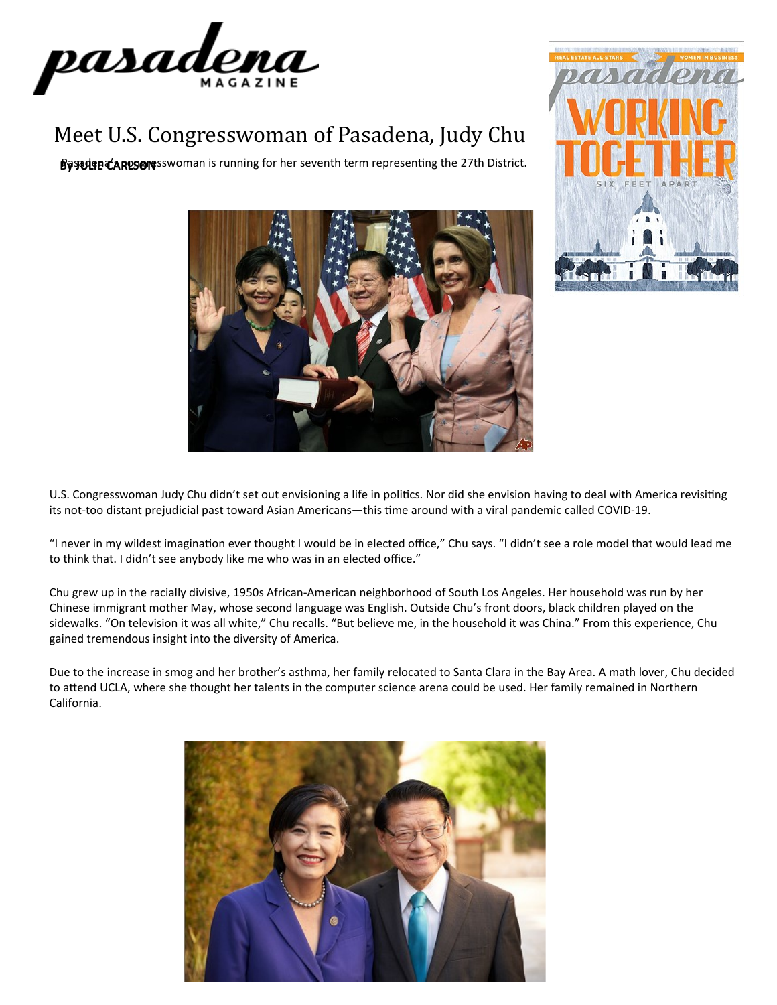

## Meet U.S. Congresswoman of Pasadena, Judy Chu

Basedeneda Rosens Swoman is running for her seventh term representing the 27th District.





U.S. Congresswoman Judy Chu didn't set out envisioning a life in politics. Nor did she envision having to deal with America revisiting its not-too distant prejudicial past toward Asian Americans—this time around with a viral pandemic called COVID-19.

"I never in my wildest imagination ever thought I would be in elected office," Chu says. "I didn't see a role model that would lead me to think that. I didn't see anybody like me who was in an elected office."

Chu grew up in the racially divisive, 1950s African-American neighborhood of South Los Angeles. Her household was run by her Chinese immigrant mother May, whose second language was English. Outside Chu's front doors, black children played on the sidewalks. "On television it was all white," Chu recalls. "But believe me, in the household it was China." From this experience, Chu gained tremendous insight into the diversity of America.

Due to the increase in smog and her brother's asthma, her family relocated to Santa Clara in the Bay Area. A math lover, Chu decided to attend UCLA, where she thought her talents in the computer science arena could be used. Her family remained in Northern California.

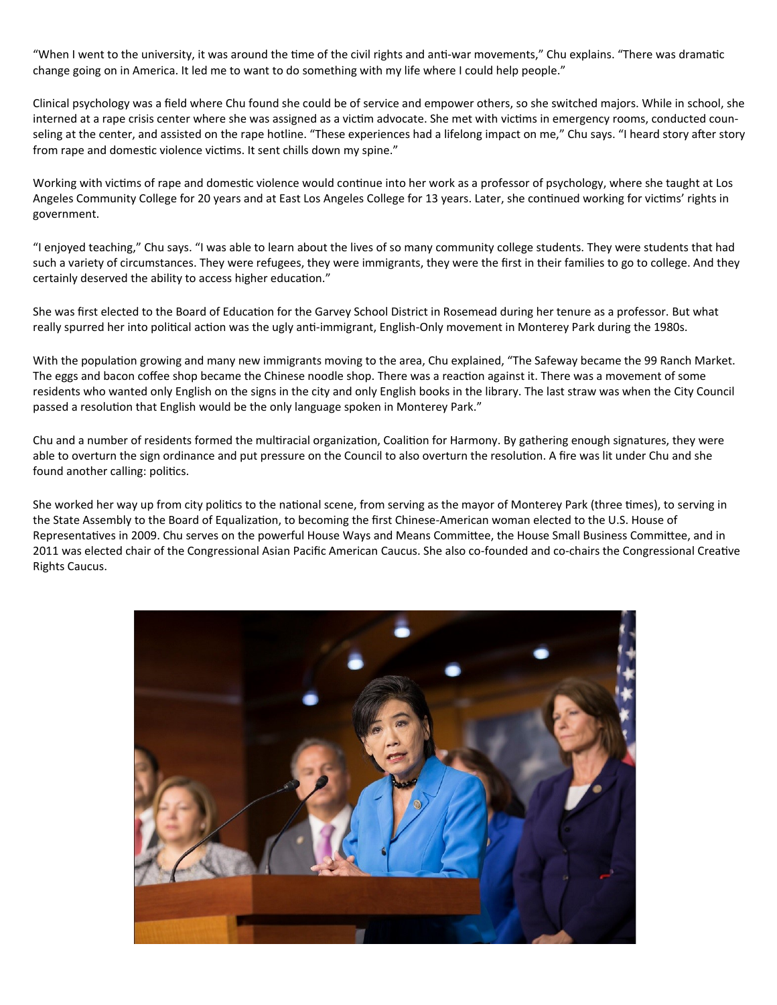"When I went to the university, it was around the time of the civil rights and anti-war movements," Chu explains. "There was dramatic change going on in America. It led me to want to do something with my life where I could help people."

Clinical psychology was a field where Chu found she could be of service and empower others, so she switched majors. While in school, she interned at a rape crisis center where she was assigned as a victim advocate. She met with victims in emergency rooms, conducted counseling at the center, and assisted on the rape hotline. "These experiences had a lifelong impact on me," Chu says. "I heard story after story from rape and domestic violence victims. It sent chills down my spine."

Working with victims of rape and domestic violence would continue into her work as a professor of psychology, where she taught at Los Angeles Community College for 20 years and at East Los Angeles College for 13 years. Later, she continued working for victims' rights in government.

"I enjoyed teaching," Chu says. "I was able to learn about the lives of so many community college students. They were students that had such a variety of circumstances. They were refugees, they were immigrants, they were the first in their families to go to college. And they certainly deserved the ability to access higher education."

She was first elected to the Board of Education for the Garvey School District in Rosemead during her tenure as a professor. But what really spurred her into political action was the ugly anti-immigrant, English-Only movement in Monterey Park during the 1980s.

With the population growing and many new immigrants moving to the area, Chu explained, "The Safeway became the 99 Ranch Market. The eggs and bacon coffee shop became the Chinese noodle shop. There was a reaction against it. There was a movement of some residents who wanted only English on the signs in the city and only English books in the library. The last straw was when the City Council passed a resolution that English would be the only language spoken in Monterey Park."

Chu and a number of residents formed the multiracial organization, Coalition for Harmony. By gathering enough signatures, they were able to overturn the sign ordinance and put pressure on the Council to also overturn the resolution. A fire was lit under Chu and she found another calling: politics.

She worked her way up from city politics to the national scene, from serving as the mayor of Monterey Park (three times), to serving in the State Assembly to the Board of Equalization, to becoming the first Chinese-American woman elected to the U.S. House of Representatives in 2009. Chu serves on the powerful House Ways and Means Committee, the House Small Business Committee, and in 2011 was elected chair of the Congressional Asian Pacific American Caucus. She also co-founded and co-chairs the Congressional Creative Rights Caucus.